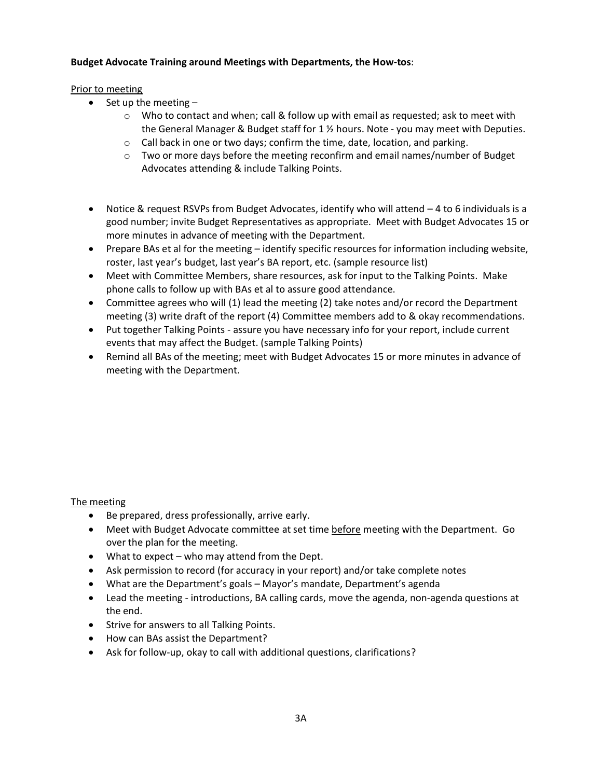# **Budget Advocate Training around Meetings with Departments, the How-tos**:

### Prior to meeting

- Set up the meeting
	- $\circ$  Who to contact and when; call & follow up with email as requested; ask to meet with the General Manager & Budget staff for 1 ½ hours. Note - you may meet with Deputies.
	- $\circ$  Call back in one or two days; confirm the time, date, location, and parking.
	- $\circ$  Two or more days before the meeting reconfirm and email names/number of Budget Advocates attending & include Talking Points.
- Notice & request RSVPs from Budget Advocates, identify who will attend 4 to 6 individuals is a good number; invite Budget Representatives as appropriate. Meet with Budget Advocates 15 or more minutes in advance of meeting with the Department.
- Prepare BAs et al for the meeting identify specific resources for information including website, roster, last year's budget, last year's BA report, etc. (sample resource list)
- Meet with Committee Members, share resources, ask for input to the Talking Points. Make phone calls to follow up with BAs et al to assure good attendance.
- Committee agrees who will (1) lead the meeting (2) take notes and/or record the Department meeting (3) write draft of the report (4) Committee members add to & okay recommendations.
- Put together Talking Points assure you have necessary info for your report, include current events that may affect the Budget. (sample Talking Points)
- Remind all BAs of the meeting; meet with Budget Advocates 15 or more minutes in advance of meeting with the Department.

### The meeting

- Be prepared, dress professionally, arrive early.
- Meet with Budget Advocate committee at set time before meeting with the Department. Go over the plan for the meeting.
- What to expect who may attend from the Dept.
- Ask permission to record (for accuracy in your report) and/or take complete notes
- What are the Department's goals Mayor's mandate, Department's agenda
- Lead the meeting introductions, BA calling cards, move the agenda, non-agenda questions at the end.
- Strive for answers to all Talking Points.
- How can BAs assist the Department?
- Ask for follow-up, okay to call with additional questions, clarifications?